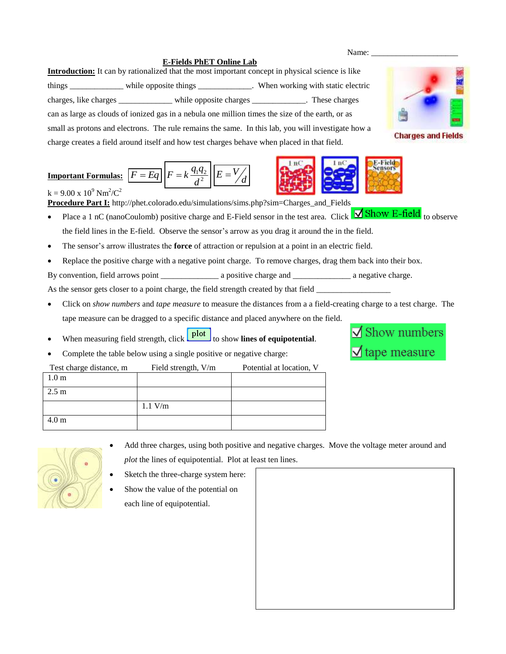## **E-Fields PhET Online Lab**

**Introduction:** It can by rationalized that the most important concept in physical science is like things \_\_\_\_\_\_\_\_\_\_\_\_\_ while opposite things \_\_\_\_\_\_\_\_\_\_\_\_\_. When working with static electric charges, like charges \_\_\_\_\_\_\_\_\_\_\_\_\_ while opposite charges \_\_\_\_\_\_\_\_\_\_\_\_\_. These charges can as large as clouds of ionized gas in a nebula one million times the size of the earth, or as small as protons and electrons. The rule remains the same. In this lab, you will investigate how a charge creates a field around itself and how test charges behave when placed in that field.

## **Important Formulas:**  $F = Eq$   $F = k \frac{q_1 q_2}{d^2}$ *d*  $F = k \frac{q_1 q}{r^2}$ *d*  $E = \frac{V}{A}$

 $k = 9.00 \text{ x } 10^9 \text{ Nm}^2/\text{C}^2$ **Procedure Part I:** http://phet.colorado.edu/simulations/sims.php?sim=Charges\_and\_Fields

- Place a 1 nC (nanoCoulomb) positive charge and E-Field sensor in the test area. Click  $\overrightarrow{\text{Show E-field}}$  to observe the field lines in the E-field. Observe the sensor's arrow as you drag it around the in the field.
- The sensor's arrow illustrates the **force** of attraction or repulsion at a point in an electric field.
- Replace the positive charge with a negative point charge. To remove charges, drag them back into their box.

By convention, field arrows point \_\_\_\_\_\_\_\_\_\_\_\_\_\_ a positive charge and \_\_\_\_\_\_\_\_\_\_\_\_\_\_ a negative charge.

As the sensor gets closer to a point charge, the field strength created by that field

- Click on *show numbers* and *tape measure* to measure the distances from a a field-creating charge to a test charge. The tape measure can be dragged to a specific distance and placed anywhere on the field.
- When measuring field strength, click **plot** to show **lines of equipotential**.
- Complete the table below using a single positive or negative charge:

| Test charge distance, m | Field strength, V/m | Potential at location, V |
|-------------------------|---------------------|--------------------------|
| 1.0 <sub>m</sub>        |                     |                          |
| $2.5 \text{ m}$         |                     |                          |
|                         | $1.1$ V/m           |                          |
| .0 m                    |                     |                          |



- Add three charges, using both positive and negative charges. Move the voltage meter around and *plot* the lines of equipotential. Plot at least ten lines.
- Sketch the three-charge system here:
- Show the value of the potential on each line of equipotential.



**Charges and Fields** 



**E-Field**<br>Sensors



Name: